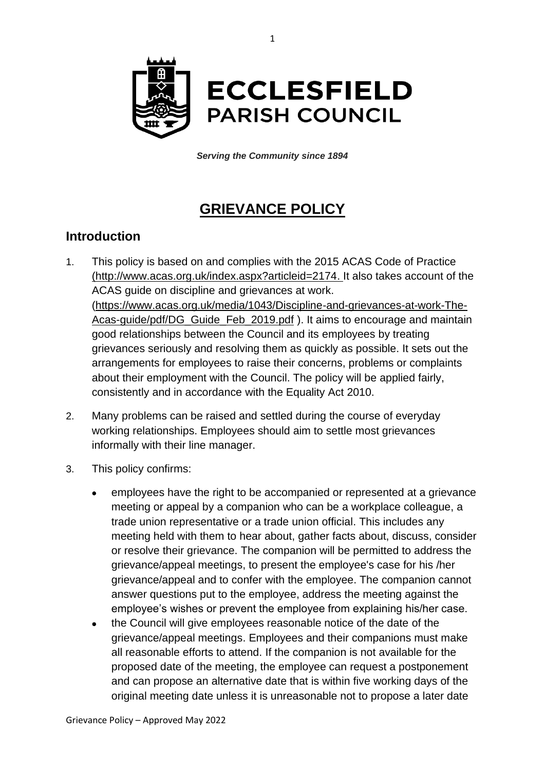

*Serving the Community since 1894*

# **GRIEVANCE POLICY**

## **Introduction**

- 1. This policy is based on and complies with the 2015 ACAS Code of Practice [\(http://www.acas.org.uk/index.aspx?articleid=2174.](http://www.acas.org.uk/index.aspx?articleid=2174) It also takes account of the ACAS guide on discipline and grievances at work. [\(https://www.acas.org.uk/media/1043/Discipline-and-grievances-at-work-The-](https://www.acas.org.uk/media/1043/Discipline-and-grievances-at-work-The-Acas-guide/pdf/DG_Guide_Feb_2019.pdf)[Acas-guide/pdf/DG\\_Guide\\_Feb\\_2019.pdf](https://www.acas.org.uk/media/1043/Discipline-and-grievances-at-work-The-Acas-guide/pdf/DG_Guide_Feb_2019.pdf) ). It aims to encourage and maintain good relationships between the Council and its employees by treating grievances seriously and resolving them as quickly as possible. It sets out the arrangements for employees to raise their concerns, problems or complaints about their employment with the Council. The policy will be applied fairly, consistently and in accordance with the Equality Act 2010.
- 2. Many problems can be raised and settled during the course of everyday working relationships. Employees should aim to settle most grievances informally with their line manager.
- 3. This policy confirms:
	- employees have the right to be accompanied or represented at a grievance meeting or appeal by a companion who can be a workplace colleague, a trade union representative or a trade union official. This includes any meeting held with them to hear about, gather facts about, discuss, consider or resolve their grievance. The companion will be permitted to address the grievance/appeal meetings, to present the employee's case for his /her grievance/appeal and to confer with the employee. The companion cannot answer questions put to the employee, address the meeting against the employee's wishes or prevent the employee from explaining his/her case.
	- the Council will give employees reasonable notice of the date of the grievance/appeal meetings. Employees and their companions must make all reasonable efforts to attend. If the companion is not available for the proposed date of the meeting, the employee can request a postponement and can propose an alternative date that is within five working days of the original meeting date unless it is unreasonable not to propose a later date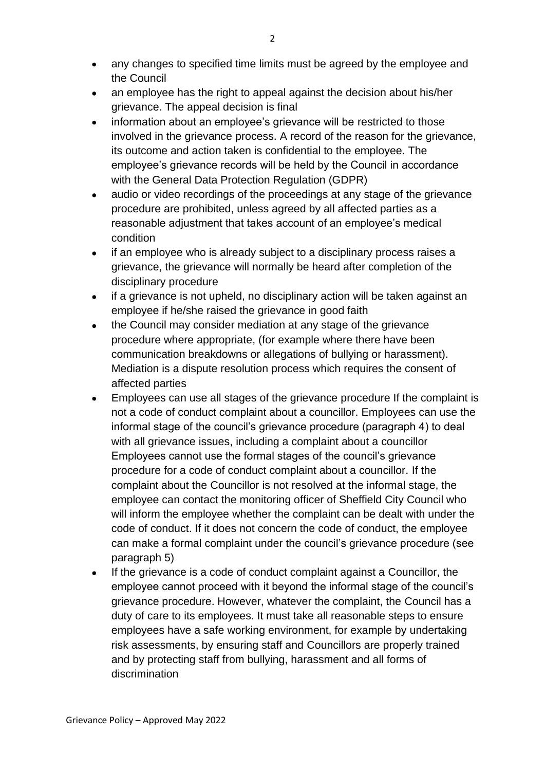- any changes to specified time limits must be agreed by the employee and the Council
- an employee has the right to appeal against the decision about his/her grievance. The appeal decision is final
- information about an employee's grievance will be restricted to those involved in the grievance process. A record of the reason for the grievance, its outcome and action taken is confidential to the employee. The employee's grievance records will be held by the Council in accordance with the General Data Protection Regulation (GDPR)
- audio or video recordings of the proceedings at any stage of the grievance procedure are prohibited, unless agreed by all affected parties as a reasonable adjustment that takes account of an employee's medical condition
- if an employee who is already subject to a disciplinary process raises a grievance, the grievance will normally be heard after completion of the disciplinary procedure
- if a grievance is not upheld, no disciplinary action will be taken against an employee if he/she raised the grievance in good faith
- the Council may consider mediation at any stage of the grievance procedure where appropriate, (for example where there have been communication breakdowns or allegations of bullying or harassment). Mediation is a dispute resolution process which requires the consent of affected parties
- Employees can use all stages of the grievance procedure If the complaint is not a code of conduct complaint about a councillor. Employees can use the informal stage of the council's grievance procedure (paragraph 4) to deal with all grievance issues, including a complaint about a councillor Employees cannot use the formal stages of the council's grievance procedure for a code of conduct complaint about a councillor. If the complaint about the Councillor is not resolved at the informal stage, the employee can contact the monitoring officer of Sheffield City Council who will inform the employee whether the complaint can be dealt with under the code of conduct. If it does not concern the code of conduct, the employee can make a formal complaint under the council's grievance procedure (see paragraph 5)
- If the grievance is a code of conduct complaint against a Councillor, the employee cannot proceed with it beyond the informal stage of the council's grievance procedure. However, whatever the complaint, the Council has a duty of care to its employees. It must take all reasonable steps to ensure employees have a safe working environment, for example by undertaking risk assessments, by ensuring staff and Councillors are properly trained and by protecting staff from bullying, harassment and all forms of discrimination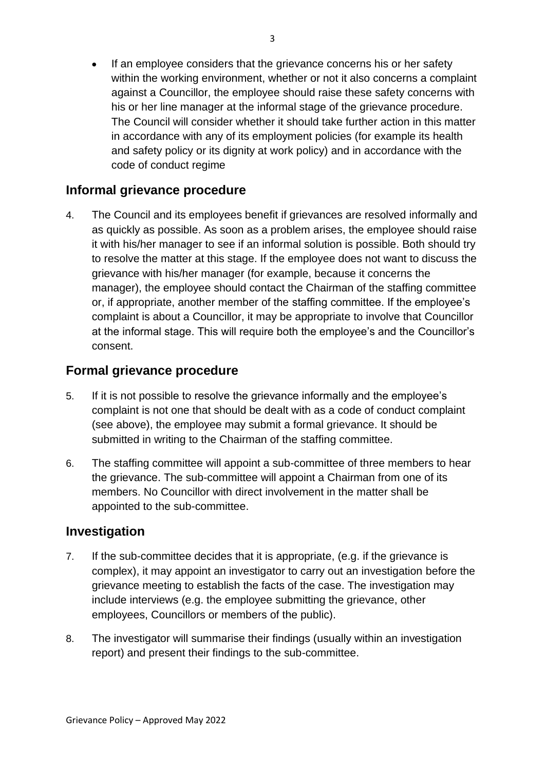If an employee considers that the grievance concerns his or her safety within the working environment, whether or not it also concerns a complaint against a Councillor, the employee should raise these safety concerns with his or her line manager at the informal stage of the grievance procedure. The Council will consider whether it should take further action in this matter in accordance with any of its employment policies (for example its health and safety policy or its dignity at work policy) and in accordance with the code of conduct regime

#### **Informal grievance procedure**

4. The Council and its employees benefit if grievances are resolved informally and as quickly as possible. As soon as a problem arises, the employee should raise it with his/her manager to see if an informal solution is possible. Both should try to resolve the matter at this stage. If the employee does not want to discuss the grievance with his/her manager (for example, because it concerns the manager), the employee should contact the Chairman of the staffing committee or, if appropriate, another member of the staffing committee. If the employee's complaint is about a Councillor, it may be appropriate to involve that Councillor at the informal stage. This will require both the employee's and the Councillor's consent.

#### **Formal grievance procedure**

- 5. If it is not possible to resolve the grievance informally and the employee's complaint is not one that should be dealt with as a code of conduct complaint (see above), the employee may submit a formal grievance. It should be submitted in writing to the Chairman of the staffing committee.
- 6. The staffing committee will appoint a sub-committee of three members to hear the grievance. The sub-committee will appoint a Chairman from one of its members. No Councillor with direct involvement in the matter shall be appointed to the sub-committee.

#### **Investigation**

- 7. If the sub-committee decides that it is appropriate, (e.g. if the grievance is complex), it may appoint an investigator to carry out an investigation before the grievance meeting to establish the facts of the case. The investigation may include interviews (e.g. the employee submitting the grievance, other employees, Councillors or members of the public).
- 8. The investigator will summarise their findings (usually within an investigation report) and present their findings to the sub-committee.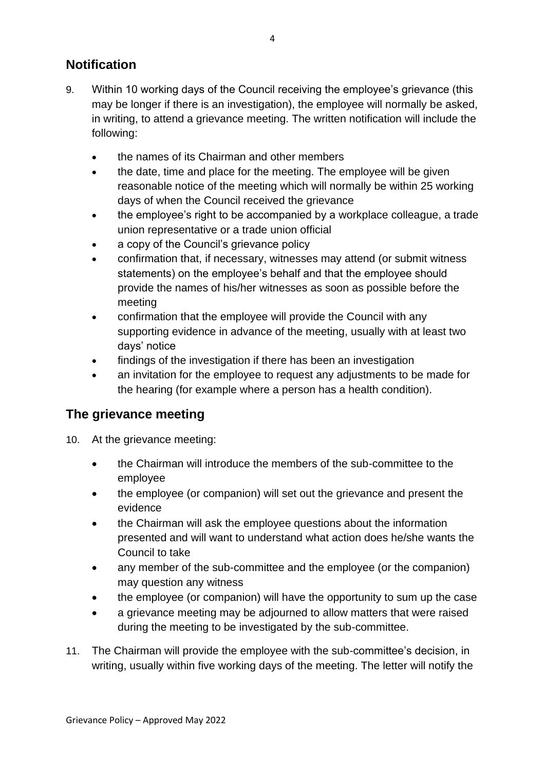# **Notification**

- 9. Within 10 working days of the Council receiving the employee's grievance (this may be longer if there is an investigation), the employee will normally be asked, in writing, to attend a grievance meeting. The written notification will include the following:
	- the names of its Chairman and other members
	- the date, time and place for the meeting. The employee will be given reasonable notice of the meeting which will normally be within 25 working days of when the Council received the grievance
	- the employee's right to be accompanied by a workplace colleague, a trade union representative or a trade union official
	- a copy of the Council's grievance policy
	- confirmation that, if necessary, witnesses may attend (or submit witness statements) on the employee's behalf and that the employee should provide the names of his/her witnesses as soon as possible before the meeting
	- confirmation that the employee will provide the Council with any supporting evidence in advance of the meeting, usually with at least two days' notice
	- findings of the investigation if there has been an investigation
	- an invitation for the employee to request any adjustments to be made for the hearing (for example where a person has a health condition).

#### **The grievance meeting**

- 10. At the grievance meeting:
	- the Chairman will introduce the members of the sub-committee to the employee
	- the employee (or companion) will set out the grievance and present the evidence
	- the Chairman will ask the employee questions about the information presented and will want to understand what action does he/she wants the Council to take
	- any member of the sub-committee and the employee (or the companion) may question any witness
	- the employee (or companion) will have the opportunity to sum up the case
	- a grievance meeting may be adjourned to allow matters that were raised during the meeting to be investigated by the sub-committee.
- 11. The Chairman will provide the employee with the sub-committee's decision, in writing, usually within five working days of the meeting. The letter will notify the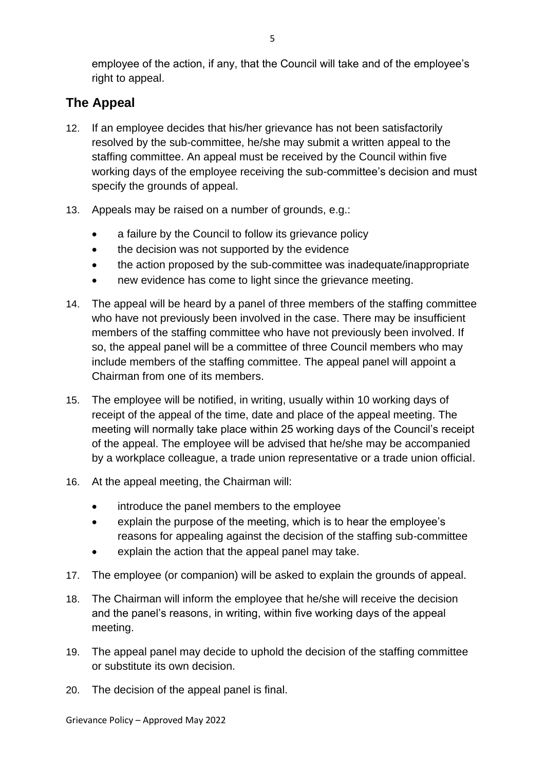employee of the action, if any, that the Council will take and of the employee's right to appeal.

# **The Appeal**

- 12. If an employee decides that his/her grievance has not been satisfactorily resolved by the sub-committee, he/she may submit a written appeal to the staffing committee. An appeal must be received by the Council within five working days of the employee receiving the sub-committee's decision and must specify the grounds of appeal.
- 13. Appeals may be raised on a number of grounds, e.g.:
	- a failure by the Council to follow its grievance policy
	- the decision was not supported by the evidence
	- the action proposed by the sub-committee was inadequate/inappropriate
	- new evidence has come to light since the grievance meeting.
- 14. The appeal will be heard by a panel of three members of the staffing committee who have not previously been involved in the case. There may be insufficient members of the staffing committee who have not previously been involved. If so, the appeal panel will be a committee of three Council members who may include members of the staffing committee. The appeal panel will appoint a Chairman from one of its members.
- 15. The employee will be notified, in writing, usually within 10 working days of receipt of the appeal of the time, date and place of the appeal meeting. The meeting will normally take place within 25 working days of the Council's receipt of the appeal. The employee will be advised that he/she may be accompanied by a workplace colleague, a trade union representative or a trade union official.
- 16. At the appeal meeting, the Chairman will:
	- introduce the panel members to the employee
	- explain the purpose of the meeting, which is to hear the employee's reasons for appealing against the decision of the staffing sub-committee
	- explain the action that the appeal panel may take.
- 17. The employee (or companion) will be asked to explain the grounds of appeal.
- 18. The Chairman will inform the employee that he/she will receive the decision and the panel's reasons, in writing, within five working days of the appeal meeting.
- 19. The appeal panel may decide to uphold the decision of the staffing committee or substitute its own decision.
- 20. The decision of the appeal panel is final.